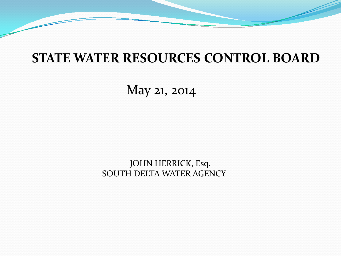## **STATE WATER RESOURCES CONTROL BOARD**

May 21, 2014

 JOHN HERRICK, Esq. SOUTH DELTA WATER AGENCY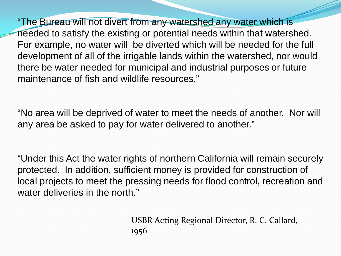"The Bureau will not divert from any watershed any water which is needed to satisfy the existing or potential needs within that watershed. For example, no water will be diverted which will be needed for the full development of all of the irrigable lands within the watershed, nor would there be water needed for municipal and industrial purposes or future maintenance of fish and wildlife resources."

"No area will be deprived of water to meet the needs of another. Nor will any area be asked to pay for water delivered to another."

"Under this Act the water rights of northern California will remain securely protected. In addition, sufficient money is provided for construction of local projects to meet the pressing needs for flood control, recreation and water deliveries in the north."

> USBR Acting Regional Director, R. C. Callard, 1956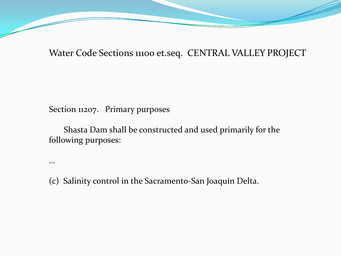Water Code Sections 11100 et.seq. CENTRAL VALLEY PROJECT

Section 11207. Primary purposes

…

 Shasta Dam shall be constructed and used primarily for the following purposes:

(c) Salinity control in the Sacramento-San Joaquin Delta.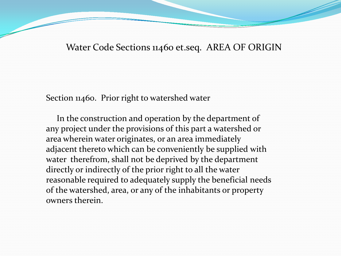Water Code Sections 11460 et.seq. AREA OF ORIGIN

Section 11460. Prior right to watershed water

 In the construction and operation by the department of any project under the provisions of this part a watershed or area wherein water originates, or an area immediately adjacent thereto which can be conveniently be supplied with water therefrom, shall not be deprived by the department directly or indirectly of the prior right to all the water reasonable required to adequately supply the beneficial needs of the watershed, area, or any of the inhabitants or property owners therein.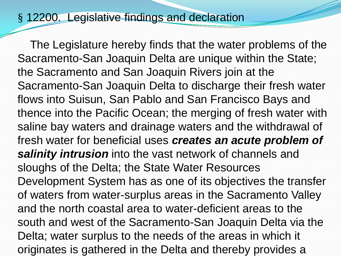## § 12200. Legislative findings and declaration

 The Legislature hereby finds that the water problems of the Sacramento-San Joaquin Delta are unique within the State; the Sacramento and San Joaquin Rivers join at the Sacramento-San Joaquin Delta to discharge their fresh water flows into Suisun, San Pablo and San Francisco Bays and thence into the Pacific Ocean; the merging of fresh water with saline bay waters and drainage waters and the withdrawal of fresh water for beneficial uses *creates an acute problem of salinity intrusion* into the vast network of channels and sloughs of the Delta; the State Water Resources Development System has as one of its objectives the transfer of waters from water-surplus areas in the Sacramento Valley and the north coastal area to water-deficient areas to the south and west of the Sacramento-San Joaquin Delta via the Delta; water surplus to the needs of the areas in which it originates is gathered in the Delta and thereby provides a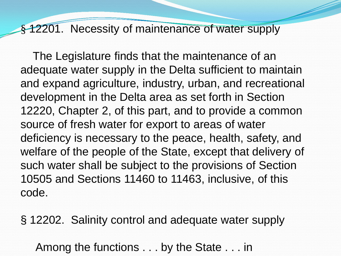### § 12201. Necessity of maintenance of water supply

 The Legislature finds that the maintenance of an adequate water supply in the Delta sufficient to maintain and expand agriculture, industry, urban, and recreational development in the Delta area as set forth in Section 12220, Chapter 2, of this part, and to provide a common source of fresh water for export to areas of water deficiency is necessary to the peace, health, safety, and welfare of the people of the State, except that delivery of such water shall be subject to the provisions of Section 10505 and Sections 11460 to 11463, inclusive, of this code.

§ 12202. Salinity control and adequate water supply

Among the functions . . . by the State . . . in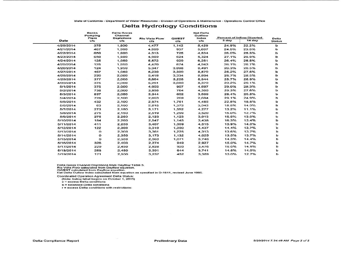State of California - Department of Water Resources - Division of Operations & Maintenance - Operations Control Office

#### **Delta Hydrology Conditions**

|  | Date      | <b>Banks</b><br>Pumping<br>Plant<br>cfs | Delta Gross<br>Channel<br><b>Depletions</b><br>cfs | <b>Rio Vista Flow</b><br><b>CTS</b> | QWEST<br>c <sub>fs</sub> | <b>Net Dolta</b><br>Outflow<br>Index<br>cfs |                                                      |       |               |  |
|--|-----------|-----------------------------------------|----------------------------------------------------|-------------------------------------|--------------------------|---------------------------------------------|------------------------------------------------------|-------|---------------|--|
|  |           |                                         |                                                    |                                     |                          |                                             | <b>Percent of Inflow Diverted</b><br>3 day<br>14 day |       | Delta         |  |
|  |           |                                         |                                                    |                                     |                          |                                             |                                                      |       | <b>Status</b> |  |
|  | 4/20/2014 | 375                                     | 1.900                                              | 4,477                               | 1,142                    | 5,429                                       | 24.9%                                                | 22.2% | ь             |  |
|  | 4/21/2014 | 467                                     | 1.900                                              | 4,959                               | 937                      | 5,697                                       | 24.5%                                                | 23.5% | p             |  |
|  | 4/22/2014 | 650                                     | 1,900                                              | 4,313                               | 725                      | 4,834                                       | 26.0%                                                | 25.3% | ь             |  |
|  | 4/23/2014 | 650                                     | 1,900                                              | 4,909                               | 624                      | 5,324                                       | 27.1%                                                | 26.9% | Þ             |  |
|  | 4/24/2014 | 125                                     | 1,950                                              | 5.572                               | 929                      | 6,281                                       | 26.4%                                                | 26.8% | ь             |  |
|  | 4/25/2014 | 125                                     | 1,950                                              | 4,470                               | 674                      | 4.943                                       | 26.1%                                                | 26.7% | b             |  |
|  | 4/26/2014 | 124                                     | 1,950                                              | 5,347                               | 3,098                    | 8,491                                       | 26.3%                                                | 26.5% | Þ             |  |
|  | 4/27/2014 | 467                                     | 1,950                                              | 5,230                               | 3,300                    | 8,579                                       | 28.2%                                                | 27.6% | ь             |  |
|  | 4/28/2014 | 220                                     | 2,000                                              | 5,418                               | 3,334                    | 8,804                                       | 28.7%                                                | 28.5% | p             |  |
|  | 4/29/2014 | 377                                     | 2,000                                              | 5,664                               | 3,228                    | 8,944                                       | 28.7%                                                | 28.9% | p             |  |
|  | 4/30/2014 | 375                                     | 2,000                                              | 5,251                               | 3,080                    | 8,379                                       | 29.2%                                                | 29.1% | ь             |  |
|  | 5/1/2014  | 375                                     | 2.000                                              | 4.003                               | 907                      | 4.697                                       | 29.0%                                                | 28.3% | b             |  |
|  | 5/2/2014  | 738                                     | 2,000                                              | 3,855                               | 764                      | 4,390                                       | 29.3%                                                | 27.6% | Ð             |  |
|  | 5/3/2014  | 837                                     | 2,050                                              | 3,344                               | 602                      | 3,699                                       | 28.4%                                                | 25.8% | ь             |  |
|  | 5/4/2014  | 728                                     | 2,100                                              | 2.663                               | 269                      | 2,694                                       | 29.1%                                                | 24.9% | Þ             |  |
|  | 5/5/2014  | 432                                     | 2.100                                              | 2.974                               | 1.761                    | 4,485                                       | 22.8%                                                | 18.8% | Þ             |  |
|  | 5/6/2014  | 63                                      | 2,100                                              | 2,815                               | 1,373                    | 3,943                                       | 18.5%                                                | 14.9% | b             |  |
|  | 5/7/2014  | 273                                     | 2.150                                              | 3.171                               | 1,352                    | 4,277                                       | 13.2%                                                | 11.1% | p             |  |
|  | 5/8/2014  | 275                                     | 2,150                                              | 2,519                               | 1,259                    | 3,520                                       | 15.0%                                                | 12.7% | Þ             |  |
|  | 5/9/2014  | 275                                     | 2,200                                              | 2.123                               | 1.123                    | 3.013                                       | 15.5%                                                | 13.0% | ь             |  |
|  | 5/10/2014 | 184                                     | 2.200                                              | 2.547                               | 1.145                    | 3.438                                       | 16.3%                                                | 13.4% | ь             |  |
|  | 5/11/2014 | 411                                     | 2,250                                              | 3,407                               | 1,369                    | 4,515                                       | 15.9%                                                | 14.0% | b             |  |
|  | 5/12/2014 | 122                                     | 2,300                                              | 3,310                               | 1,300                    | 4,437                                       | 14.4%                                                | 13.7% | ь             |  |
|  | 5/13/2014 | $\Omega$                                | 2,300                                              | 3,361                               | 1,225                    | 4,313                                       | 13.6%                                                | 13.7% | ь             |  |
|  | 5/14/2014 | $\circ$                                 | 2.350                                              | 3.173                               | 1.132                    | 4.025                                       | 13.5%                                                | 13.7% | ь             |  |
|  | 5/15/2014 | $\mathbf{o}$                            | 2,350                                              | 2,963                               | 1,071                    | 3,746                                       | 14.3%                                                | 14.4% | ь             |  |
|  | 5/16/2014 | 326                                     | 2,400                                              | 2,274                               | 949                      | 2,927                                       | 15.0%                                                | 14.7% | b             |  |
|  | 5/17/2014 | 229                                     | 2,450                                              | 2,828                               | 920                      | 3,476                                       | 15.0%                                                | 14.5% | Þ             |  |
|  | 5/13/2014 | 268                                     | 2,450                                              | 3,391                               | 644                      | 3.741                                       | 14.5%                                                | 14.0% | ь             |  |
|  | 5/19/2014 | 171                                     | 2.500                                              | 3.237                               | 452                      | 3.389                                       | 13.0%                                                | 12.7% | ь             |  |

Delta Gross Channel Depletions from Dayflow Table 3.<br>Rio Vista Flow calculated from Dayflow equation.<br>QWEST calculated from Dayflow equation.

 $N$  et Detta Ouflow Index calculated from equation as specified in D-1641, revised June 1995.

**Coordinated Operation Agreement Delta Status:** 

**(Note: below label beoins o n October 1 . 2013)** 

**<sup>c</sup>**~excess **Delt.o conditione** 

**b** = **batanced** Delta conditions

 $r$  **= excess Delta conditions with restrictions:**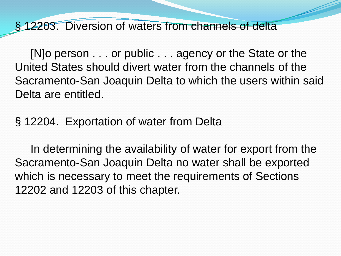## § 12203. Diversion of waters from channels of delta

 [N]o person . . . or public . . . agency or the State or the United States should divert water from the channels of the Sacramento-San Joaquin Delta to which the users within said Delta are entitled.

## § 12204. Exportation of water from Delta

 In determining the availability of water for export from the Sacramento-San Joaquin Delta no water shall be exported which is necessary to meet the requirements of Sections 12202 and 12203 of this chapter.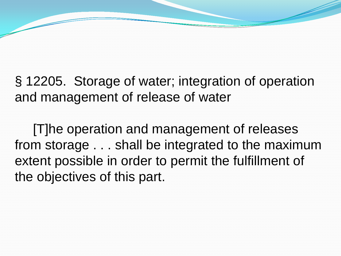§ 12205. Storage of water; integration of operation and management of release of water

 [T]he operation and management of releases from storage . . . shall be integrated to the maximum extent possible in order to permit the fulfillment of the objectives of this part.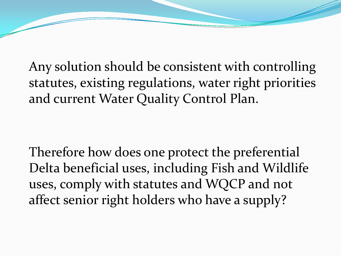Any solution should be consistent with controlling statutes, existing regulations, water right priorities and current Water Quality Control Plan.

Therefore how does one protect the preferential Delta beneficial uses, including Fish and Wildlife uses, comply with statutes and WQCP and not affect senior right holders who have a supply?